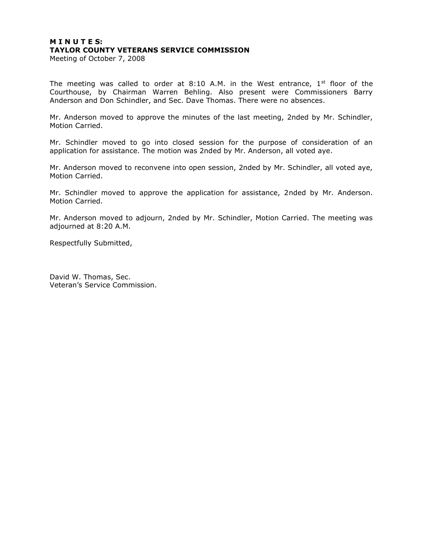## **M I N U T E S: TAYLOR COUNTY VETERANS SERVICE COMMISSION**

Meeting of October 7, 2008

The meeting was called to order at 8:10 A.M. in the West entrance,  $1^{st}$  floor of the Courthouse, by Chairman Warren Behling. Also present were Commissioners Barry Anderson and Don Schindler, and Sec. Dave Thomas. There were no absences.

Mr. Anderson moved to approve the minutes of the last meeting, 2nded by Mr. Schindler, Motion Carried.

Mr. Schindler moved to go into closed session for the purpose of consideration of an application for assistance. The motion was 2nded by Mr. Anderson, all voted aye.

Mr. Anderson moved to reconvene into open session, 2nded by Mr. Schindler, all voted aye, Motion Carried.

Mr. Schindler moved to approve the application for assistance, 2nded by Mr. Anderson. Motion Carried.

Mr. Anderson moved to adjourn, 2nded by Mr. Schindler, Motion Carried. The meeting was adjourned at 8:20 A.M.

Respectfully Submitted,

David W. Thomas, Sec. Veteran's Service Commission.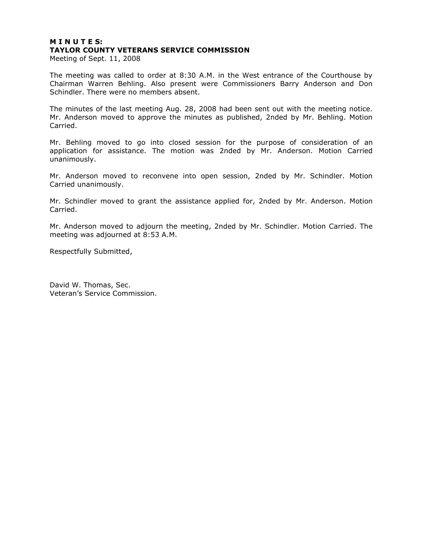# **M I N U T E S: TAYLOR COUNTY VETERANS SERVICE COMMISSION**

Meeting of Sept. 11, 2008

The meeting was called to order at 8:30 A.M. in the West entrance of the Courthouse by Chairman Warren Behling. Also present were Commissioners Barry Anderson and Don Schindler. There were no members absent.

The minutes of the last meeting Aug. 28, 2008 had been sent out with the meeting notice. Mr. Anderson moved to approve the minutes as published, 2nded by Mr. Behling. Motion Carried.

Mr. Behling moved to go into closed session for the purpose of consideration of an application for assistance. The motion was 2nded by Mr. Anderson. Motion Carried unanimously.

Mr. Anderson moved to reconvene into open session, 2nded by Mr. Schindler. Motion Carried unanimously.

Mr. Schindler moved to grant the assistance applied for, 2nded by Mr. Anderson. Motion Carried.

Mr. Anderson moved to adjourn the meeting, 2nded by Mr. Schindler. Motion Carried. The meeting was adjourned at 8:53 A.M.

Respectfully Submitted,

David W. Thomas, Sec. Veteran's Service Commission.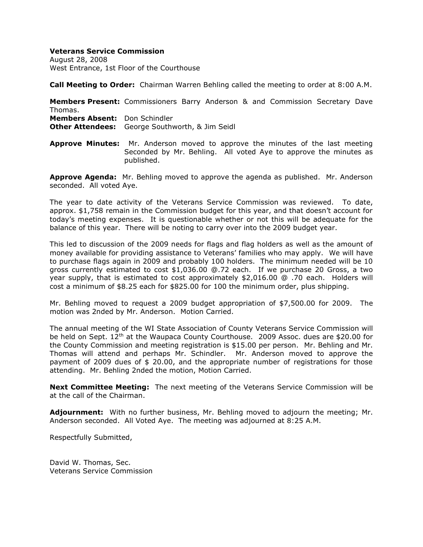### **Veterans Service Commission**

August 28, 2008 West Entrance, 1st Floor of the Courthouse

**Call Meeting to Order:** Chairman Warren Behling called the meeting to order at 8:00 A.M.

**Members Present:** Commissioners Barry Anderson & and Commission Secretary Dave Thomas. **Members Absent:** Don Schindler **Other Attendees:** George Southworth, & Jim Seidl

**Approve Minutes:** Mr. Anderson moved to approve the minutes of the last meeting Seconded by Mr. Behling. All voted Aye to approve the minutes as published.

**Approve Agenda:** Mr. Behling moved to approve the agenda as published. Mr. Anderson seconded. All voted Aye.

The year to date activity of the Veterans Service Commission was reviewed. To date, approx. \$1,758 remain in the Commission budget for this year, and that doesn't account for today's meeting expenses. It is questionable whether or not this will be adequate for the balance of this year. There will be noting to carry over into the 2009 budget year.

This led to discussion of the 2009 needs for flags and flag holders as well as the amount of money available for providing assistance to Veterans' families who may apply. We will have to purchase flags again in 2009 and probably 100 holders. The minimum needed will be 10 gross currently estimated to cost \$1,036.00 @.72 each. If we purchase 20 Gross, a two year supply, that is estimated to cost approximately \$2,016.00 @ .70 each. Holders will cost a minimum of \$8.25 each for \$825.00 for 100 the minimum order, plus shipping.

Mr. Behling moved to request a 2009 budget appropriation of \$7,500.00 for 2009. The motion was 2nded by Mr. Anderson. Motion Carried.

The annual meeting of the WI State Association of County Veterans Service Commission will be held on Sept.  $12<sup>th</sup>$  at the Waupaca County Courthouse. 2009 Assoc. dues are \$20.00 for the County Commission and meeting registration is \$15.00 per person. Mr. Behling and Mr. Thomas will attend and perhaps Mr. Schindler. Mr. Anderson moved to approve the payment of 2009 dues of \$ 20.00, and the appropriate number of registrations for those attending. Mr. Behling 2nded the motion, Motion Carried.

**Next Committee Meeting:** The next meeting of the Veterans Service Commission will be at the call of the Chairman.

**Adjournment:** With no further business, Mr. Behling moved to adjourn the meeting; Mr. Anderson seconded. All Voted Aye. The meeting was adjourned at 8:25 A.M.

Respectfully Submitted,

David W. Thomas, Sec. Veterans Service Commission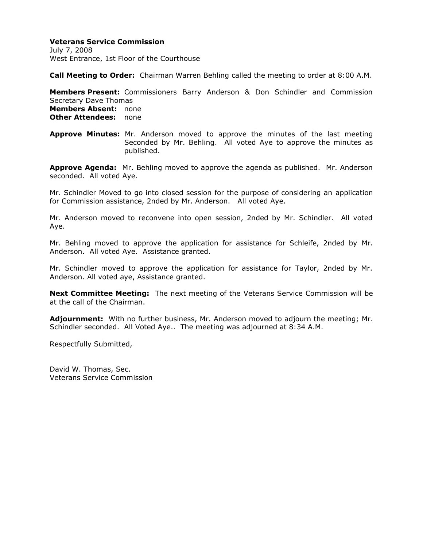## **Veterans Service Commission**

July 7, 2008 West Entrance, 1st Floor of the Courthouse

**Call Meeting to Order:** Chairman Warren Behling called the meeting to order at 8:00 A.M.

**Members Present:** Commissioners Barry Anderson & Don Schindler and Commission Secretary Dave Thomas **Members Absent:** none **Other Attendees:** none

**Approve Minutes:** Mr. Anderson moved to approve the minutes of the last meeting Seconded by Mr. Behling. All voted Aye to approve the minutes as published.

**Approve Agenda:** Mr. Behling moved to approve the agenda as published. Mr. Anderson seconded. All voted Aye.

Mr. Schindler Moved to go into closed session for the purpose of considering an application for Commission assistance, 2nded by Mr. Anderson. All voted Aye.

Mr. Anderson moved to reconvene into open session, 2nded by Mr. Schindler. All voted Aye.

Mr. Behling moved to approve the application for assistance for Schleife, 2nded by Mr. Anderson. All voted Aye. Assistance granted.

Mr. Schindler moved to approve the application for assistance for Taylor, 2nded by Mr. Anderson. All voted aye, Assistance granted.

**Next Committee Meeting:** The next meeting of the Veterans Service Commission will be at the call of the Chairman.

**Adjournment:** With no further business, Mr. Anderson moved to adjourn the meeting; Mr. Schindler seconded. All Voted Aye.. The meeting was adjourned at 8:34 A.M.

Respectfully Submitted,

David W. Thomas, Sec. Veterans Service Commission